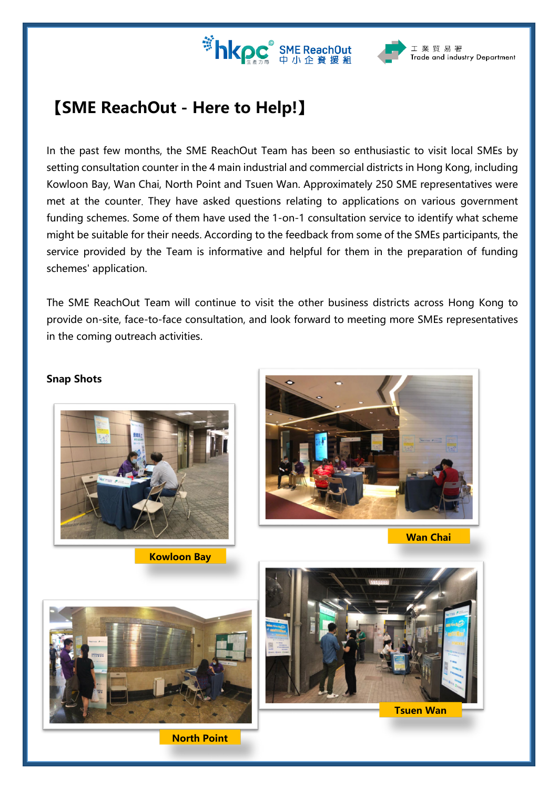



## **【SME ReachOut - Here to Help!】**

In the past few months, the SME ReachOut Team has been so enthusiastic to visit local SMEs by setting consultation counter in the 4 main industrial and commercial districts in Hong Kong, including Kowloon Bay, Wan Chai, North Point and Tsuen Wan. Approximately 250 SME representatives were met at the counter. They have asked questions relating to applications on various government funding schemes. Some of them have used the 1-on-1 consultation service to identify what scheme might be suitable for their needs. According to the feedback from some of the SMEs participants, the service provided by the Team is informative and helpful for them in the preparation of funding schemes' application.

The SME ReachOut Team will continue to visit the other business districts across Hong Kong to provide on-site, face-to-face consultation, and look forward to meeting more SMEs representatives in the coming outreach activities.

## **Snap Shots**



**Kowloon Bay**



**Wan Chai**



**North Point**